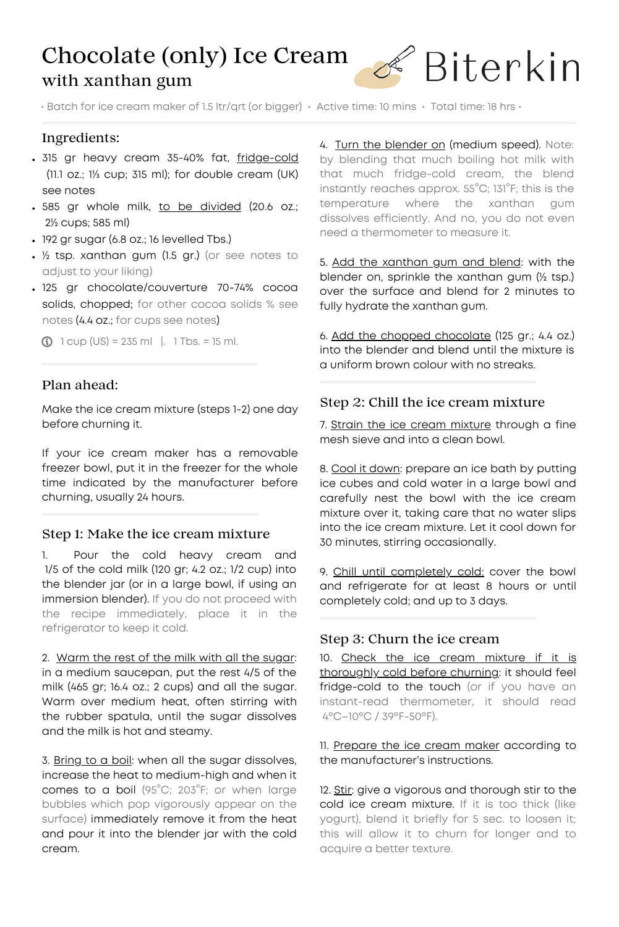# Chocolate (only) Ice Cream with xanthan gum



• Batch for ice cream maker of 1.5 ltr/qrt (or bigger) • Active time: 10 mins • Total time: 18 hrs •

# Ingredients:

- . 315 gr heavy cream 35-40% fat, fridge-cold (11.1 oz.; 1⅓ cup; 315 ml); for double cream (UK) see notes
- . 585 gr whole milk, to be divided (20.6 oz.; 2½ cups; 585 ml)
- 192 gr sugar (6.8 oz.; 16 levelled Tbs.)
- ½ tsp. xanthan gum (1.5 gr.) (or see notes to adjust to your liking)
- 125 gr chocolate/couverture 70-74% cocoa solids, chopped; for other cocoa solids % see notes (4.4 oz.; for cups see notes)

 $\bigcirc$  1 cup (US) = 235 ml |. 1 Tbs. = 15 ml.

## Plan ahead:

Make the ice cream mixture (steps 1-2) one day before churning it.

If your ice cream maker has a removable freezer bowl, put it in the freezer for the whole time indicated by the manufacturer before churning, usually 24 hours.

### Step 1: Make the ice cream mixture

1. Pour the cold heavy cream and 1/5 of the cold milk (120 gr; 4.2 oz.; 1/2 cup) into the blender jar (or in a large bowl, if using an immersion blender). If you do not proceed with the recipe immediately, place it in the refrigerator to keep it cold.

2. Warm the rest of the milk with all the sugar: in a medium saucepan, put the rest 4/5 of the milk (465 gr; 16.4 oz.; 2 cups) and all the sugar. Warm over medium heat, often stirring with the rubber spatula, until the sugar dissolves and the milk is hot and steamy.

3. Bring to a boil: when all the sugar dissolves, increase the heat to medium-high and when it comes to a boil (95°C; 203°F; or when large bubbles which pop vigorously appear on the surface) immediately remove it from the heat and pour it into the blender jar with the cold cream.

4. Turn the blender on (medium speed). Note: by blending that much boiling hot milk with that much fridge-cold cream, the blend instantly reaches approx. 55°C; 131°F; this is the temperature where the xanthan gum dissolves efficiently. And no, you do not even need a thermometer to measure it.

5. Add the xanthan gum and blend: with the blender on, sprinkle the xanthan gum (½ tsp.) over the surface and blend for 2 minutes to fully hydrate the xanthan gum.

6. Add the chopped chocolate (125 gr.; 4.4 oz.) into the blender and blend until the mixture is a uniform brown colour with no streaks.

### Step 2: Chill the ice cream mixture

7. Strain the ice cream mixture through a fine mesh sieve and into a clean bowl.

8. Cool it down: prepare an ice bath by putting ice cubes and cold water in a large bowl and carefully nest the bowl with the ice cream mixture over it, taking care that no water slips into the ice cream mixture. Let it cool down for 30 minutes, stirring occasionally.

9. Chill until completely cold: cover the bowl and refrigerate for at least 8 hours or until completely cold; and up to 3 days.

### Step 3: Churn the ice cream

10. Check the ice cream mixture if it is thoroughly cold before churning: it should feel fridge-cold to the touch (or if you have an instant-read thermometer, it should read 4ºC–10ºC / 39ºF-50ºF).

11. Prepare the ice cream maker according to the manufacturer's instructions.

12. Stir: give a vigorous and thorough stir to the cold ice cream mixture. If it is too thick (like yogurt), blend it briefly for 5 sec. to loosen it; this will allow it to churn for longer and to acquire a better texture.